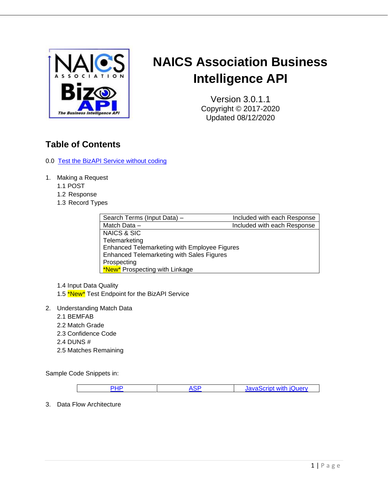

# **NAICS Association Business Intelligence API**

Version 3.0.1.1 Copyright © 2017-2020 Updated 08/12/2020

# **Table of Contents**

- 0.0 [Test the BizAPI Service without coding](#page-1-0)
- 1. Making a Request
	- 1.1 POST
	- 1.2 Response
	- 1.3 Record Types

| Search Terms (Input Data) -                      | Included with each Response |
|--------------------------------------------------|-----------------------------|
| Match Data -                                     | Included with each Response |
| NAICS & SIC                                      |                             |
| Telemarketing                                    |                             |
| Enhanced Telemarketing with Employee Figures     |                             |
| <b>Enhanced Telemarketing with Sales Figures</b> |                             |
| Prospecting                                      |                             |
| *New* Prospecting with Linkage                   |                             |

1.4 Input Data Quality 1.5 \*New\* Test Endpoint for the BizAPI Service

- 2. Understanding Match Data
	- 2.1 BEMFAB
	- 2.2 Match Grade
	- 2.3 Confidence Code
	- 2.4 DUNS #
	- 2.5 Matches Remaining

Sample Code Snippets in:

| c | JavaScript with iQuery |
|---|------------------------|

3. Data Flow Architecture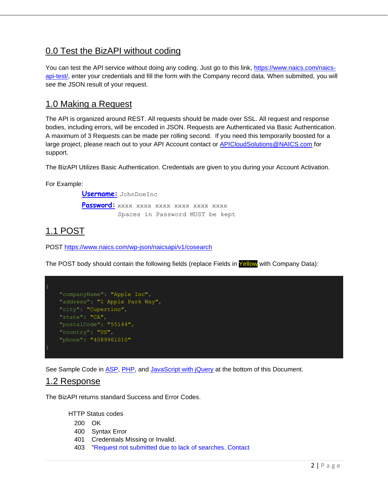## <span id="page-1-0"></span>0.0 Test the BizAPI without coding

You can test the API service without doing any coding. Just go to this link, [https://www.naics.com/naics](https://www.naics.com/naics-api-test/)[api-test/,](https://www.naics.com/naics-api-test/) enter your credentials and fill the form with the Company record data. When submitted, you will see the JSON result of your request.

## 1.0 Making a Request

The API is organized around REST. All requests should be made over SSL. All request and response bodies, including errors, will be encoded in JSON. Requests are Authenticated via Basic Authentication. A maximum of 3 Requests can be made per rolling second. If you need this temporarily boosted for a large project, please reach out to your API Account contact or [APICloudSolutions@NAICS.com](mailto:APICloudSolutions@NAICS.com) for support.

The BizAPI Utilizes Basic Authentication. Credentials are given to you during your Account Activation.

For Example:

 **Username:** JohnDoeInc **Password:** xxxx xxxx xxxx xxxx xxxx xxxx Spaces in Password MUST be kept

# 1.1 POST

POST<https://www.naics.com/wp-json/naicsapi/v1/cosearch>

The POST body should contain the following fields (replace Fields in Yellow with Company Data):

```
 "companyName": "Apple Inc",
 "address": "1 Apple Park Way",
 "city": "Cupertino",
 "state": "CA",
 "postalCode": "55144",
 "country": "US",
 "phone": "4089961010"
```
See Sample Code in [ASP,](#page-12-0) [PHP,](#page-9-0) and [JavaScript with jQuery](#page-15-0) at the bottom of this Document.

### 1.2 Response

The BizAPI returns standard Success and Error Codes.

HTTP Status codes

- 200 OK
- 400 Syntax Error
- 401 Credentials Missing or Invalid.
- 403 "Request not submitted due to lack of searches. Contact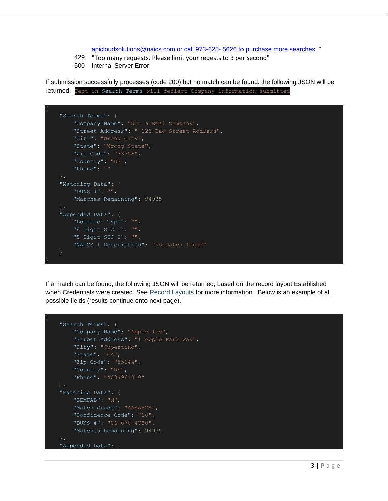#### apicloudsolutions@naics.com or call 973-625- 5626 to purchase more searches. "

- 429 "Too many requests. Please limit your reqests to 3 per second"
- 500 Internal Server Error

If submission successfully processes (code 200) but no match can be found, the following JSON will be returned. Text in Search Terms will reflect Company information submitted

```
 "Search Terms": {
    "Company Name": "Not a Real Company",
    "Street Address": " 123 Bad Street Address",
   "City": "Wrong City",
    "State": "Wrong State",
    "Zip Code": "33556",
    "Country": "US",
    "Phone": ""
 "Matching Data": {
    "DUNS #": "",
    "Matches Remaining": 94935
 "Appended Data": {
    "Location Type": "",
    "8 Digit SIC 1": "",
    "8 Digit SIC 2": "",
    "NAICS 1 Description": "No match found"
```
If a match can be found, the following JSON will be returned, based on the record layout Established when Credentials were created. See Record Layouts for more information. Below is an example of all possible fields (results continue onto next page).

```
 "Search Terms": {
     "Company Name": "Apple Inc",
     "Street Address": "1 Apple Park Way",
     "City": "Cupertino",
     "State": "CA",
     "Zip Code": "55144",
     "Country": "US",
     "Phone": "4089961010"
 "Matching Data": {
     "BEMFAB": "M",
     "Match Grade": "AAAAAZA",
     "Confidence Code": "10",
     "DUNS #": "06-070-4780",
     "Matches Remaining": 94935
 "Appended Data": {
```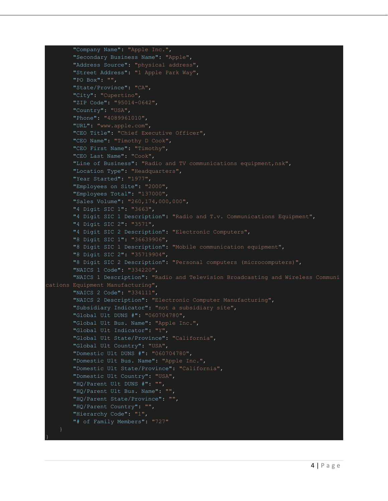```
"Company Name": "Apple Inc.",
         "Secondary Business Name": "Apple",
        "Address Source": "physical address",
        "Street Address": "1 Apple Park Way",
        "PO Box": "",
         "State/Province": "CA",
        "City": "Cupertino",
        "ZIP Code": "95014-0642",
         "Country": "USA",
        "Phone": "4089961010",
        "URL": "www.apple.com",
        "CEO Title": "Chief Executive Officer",
        "CEO Name": "Timothy D Cook",
        "CEO First Name": "Timothy",
        "CEO Last Name": "Cook",
        "Line of Business": "Radio and TV communications equipment,nsk",
        "Location Type": "Headquarters",
        "Year Started": "1977",
        "Employees on Site": "2000",
        "Employees Total": "137000",
        "Sales Volume": "260,174,000,000",
        "4 Digit SIC 1": "3663",
        "4 Digit SIC 1 Description": "Radio and T.v. Communications Equipment",
         "4 Digit SIC 2": "3571",
        "4 Digit SIC 2 Description": "Electronic Computers",
        "8 Digit SIC 1": "36639906",
        "8 Digit SIC 1 Description": "Mobile communication equipment",
        "8 Digit SIC 2": "35719904",
        "8 Digit SIC 2 Description": "Personal computers (microcomputers)",
        "NAICS 1 Code": "334220",
         "NAICS 1 Description": "Radio and Television Broadcasting and Wireless Communi
cations Equipment Manufacturing",
        "NAICS 2 Code": "334111",
        "NAICS 2 Description": "Electronic Computer Manufacturing",
         "Subsidiary Indicator": "not a subsidiary site",
        "Global Ult DUNS #": "060704780",
        "Global Ult Bus. Name": "Apple Inc.",
        "Global Ult Indicator": "Y",
         "Global Ult State/Province": "California",
        "Global Ult Country": "USA",
        "Domestic Ult DUNS #": "060704780",
        "Domestic Ult Bus. Name": "Apple Inc.",
        "Domestic Ult State/Province": "California",
        "Domestic Ult Country": "USA",
        "HQ/Parent Ult DUNS #": "",
         "HQ/Parent Ult Bus. Name": "",
        "HQ/Parent State/Province": "",
        "HQ/Parent Country": "",
        "Hierarchy Code": "1",
        "# of Family Members": "727"
```

```
4 | P \text{ a g e}
```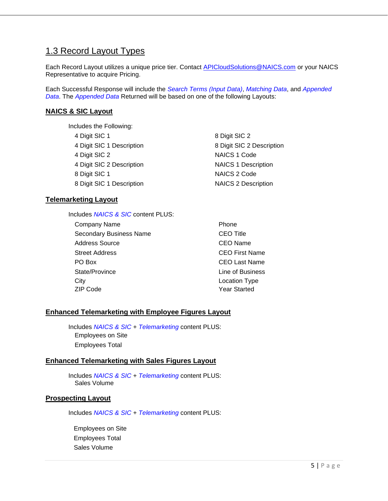## 1.3 Record Layout Types

Each Record Layout utilizes a unique price tier. Contact [APICloudSolutions@NAICS.com](mailto:APICloudSolutions@NAICS.com) or your NAICS Representative to acquire Pricing.

Each Successful Response will include the *Search Terms (Input Data)*, *Matching Data*, and *Appended Data*. The *Appended Data* Returned will be based on one of the following Layouts:

#### **NAICS & SIC Layout**

Includes the Following:

| 4 Digit SIC 1 |  |                           |
|---------------|--|---------------------------|
|               |  | 4 Digit SIC 1 Description |
| 4 Digit SIC 2 |  |                           |
|               |  | 4 Digit SIC 2 Description |
| 8 Digit SIC 1 |  |                           |
|               |  | 8 Digit SIC 1 Description |

#### **Telemarketing Layout**

Includes *NAICS & SIC* content PLUS:

Company Name **Phone** Secondary Business Name CEO Title Address Source **CEO** Name Street Address CEO First Name PO Box CEO Last Name State/Province Line of Business City **City** City **City City City City City City City City City City City City City City City City City City City City City City City City City City City City City C** ZIP Code Year Started

8 Digit SIC 2 4 Digit SIC 1 Description 8 Digit SIC 2 Description NAICS 1 Code **NAICS 1 Description** NAICS 2 Code **NAICS 2 Description** 

#### **Enhanced Telemarketing with Employee Figures Layout**

Includes *NAICS & SIC* + *Telemarketing* content PLUS: Employees on Site Employees Total

#### **Enhanced Telemarketing with Sales Figures Layout**

Includes *NAICS & SIC* + *Telemarketing* content PLUS: Sales Volume

#### **Prospecting Layout**

Includes *NAICS & SIC* + *Telemarketing* content PLUS:

Employees on Site Employees Total Sales Volume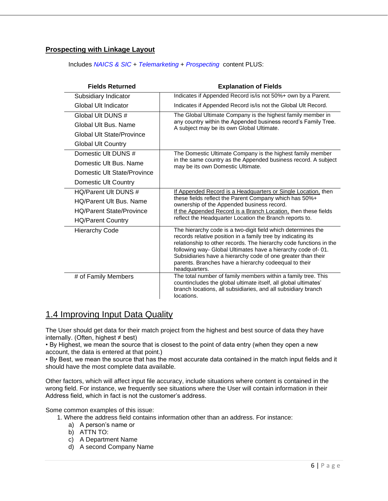### **Prospecting with Linkage Layout**

Includes *NAICS & SIC* + *Telemarketing* + *Prospecting* content PLUS:

| <b>Fields Returned</b>          | <b>Explanation of Fields</b>                                                                                                                                                                                                                                                                                                                                                                                 |
|---------------------------------|--------------------------------------------------------------------------------------------------------------------------------------------------------------------------------------------------------------------------------------------------------------------------------------------------------------------------------------------------------------------------------------------------------------|
| Subsidiary Indicator            | Indicates if Appended Record is/is not 50%+ own by a Parent.                                                                                                                                                                                                                                                                                                                                                 |
| Global Ult Indicator            | Indicates if Appended Record is/is not the Global Ult Record.                                                                                                                                                                                                                                                                                                                                                |
| Global Ult DUNS #               | The Global Ultimate Company is the highest family member in                                                                                                                                                                                                                                                                                                                                                  |
| Global Ult Bus, Name            | any country within the Appended business record's Family Tree.<br>A subject may be its own Global Ultimate.                                                                                                                                                                                                                                                                                                  |
| Global Ult State/Province       |                                                                                                                                                                                                                                                                                                                                                                                                              |
| <b>Global Ult Country</b>       |                                                                                                                                                                                                                                                                                                                                                                                                              |
| Domestic Ult DUNS #             | The Domestic Ultimate Company is the highest family member                                                                                                                                                                                                                                                                                                                                                   |
| Domestic Ult Bus. Name          | in the same country as the Appended business record. A subject<br>may be its own Domestic Ultimate.                                                                                                                                                                                                                                                                                                          |
| Domestic Ult State/Province     |                                                                                                                                                                                                                                                                                                                                                                                                              |
| Domestic Ult Country            |                                                                                                                                                                                                                                                                                                                                                                                                              |
| HO/Parent Ult DUNS #            | If Appended Record is a Headquarters or Single Location, then                                                                                                                                                                                                                                                                                                                                                |
| <b>HQ/Parent Ult Bus. Name</b>  | these fields reflect the Parent Company which has 50%+<br>ownership of the Appended business record.                                                                                                                                                                                                                                                                                                         |
| <b>HQ/Parent State/Province</b> | If the Appended Record is a Branch Location, then these fields                                                                                                                                                                                                                                                                                                                                               |
| <b>HQ/Parent Country</b>        | reflect the Headquarter Location the Branch reports to.                                                                                                                                                                                                                                                                                                                                                      |
| <b>Hierarchy Code</b>           | The hierarchy code is a two-digit field which determines the<br>records relative position in a family tree by indicating its<br>relationship to other records. The hierarchy code functions in the<br>following way- Global Ultimates have a hierarchy code of-01.<br>Subsidiaries have a hierarchy code of one greater than their<br>parents. Branches have a hierarchy codeequal to their<br>headquarters. |
| # of Family Members             | The total number of family members within a family tree. This<br>countincludes the global ultimate itself, all global ultimates'<br>branch locations, all subsidiaries, and all subsidiary branch<br>locations.                                                                                                                                                                                              |

### 1.4 Improving Input Data Quality

The User should get data for their match project from the highest and best source of data they have internally. (Often, highest  $\neq$  best)

• By Highest, we mean the source that is closest to the point of data entry (when they open a new account, the data is entered at that point.)

• By Best, we mean the source that has the most accurate data contained in the match input fields and it should have the most complete data available.

Other factors, which will affect input file accuracy, include situations where content is contained in the wrong field. For instance, we frequently see situations where the User will contain information in their Address field, which in fact is not the customer's address.

Some common examples of this issue:

1. Where the address field contains information other than an address. For instance:

- a) A person's name or
- b) ATTN TO:
- c) A Department Name
- d) A second Company Name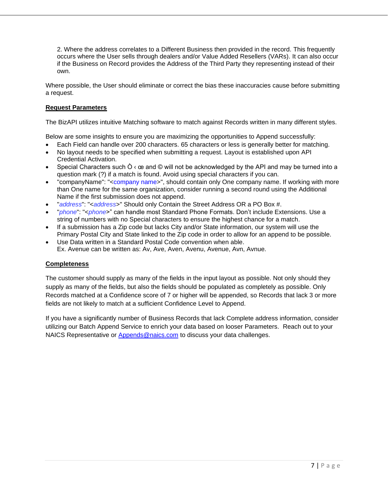2. Where the address correlates to a Different Business then provided in the record. This frequently occurs where the User sells through dealers and/or Value Added Resellers (VARs). It can also occur if the Business on Record provides the Address of the Third Party they representing instead of their own.

Where possible, the User should eliminate or correct the bias these inaccuracies cause before submitting a request.

#### **Request Parameters**

The BizAPI utilizes intuitive Matching software to match against Records written in many different styles.

Below are some insights to ensure you are maximizing the opportunities to Append successfully:

- Each Field can handle over 200 characters. 65 characters or less is generally better for matching.
- No layout needs to be specified when submitting a request. Layout is established upon API Credential Activation.
- Special Characters such  $\dot{O}$   $\kappa$   $\alpha$  and  $\odot$  will not be acknowledged by the API and may be turned into a question mark (?) if a match is found. Avoid using special characters if you can.
- "companyName": "<company name>", should contain only One company name. If working with more than One name for the same organization, consider running a second round using the Additional Name if the first submission does not append.
- "*address*": "<*address*>" Should only Contain the Street Address OR a PO Box #.
- "*phone*": "<*phone*>" can handle most Standard Phone Formats. Don't include Extensions. Use a string of numbers with no Special characters to ensure the highest chance for a match.
- If a submission has a Zip code but lacks City and/or State information, our system will use the Primary Postal City and State linked to the Zip code in order to allow for an append to be possible.
- Use Data written in a Standard Postal Code convention when able. Ex. Avenue can be written as: Av, Ave, Aven, Avenu, Avenue, Avn, Avnue.

#### **Completeness**

The customer should supply as many of the fields in the input layout as possible. Not only should they supply as many of the fields, but also the fields should be populated as completely as possible. Only Records matched at a Confidence score of 7 or higher will be appended, so Records that lack 3 or more fields are not likely to match at a sufficient Confidence Level to Append.

If you have a significantly number of Business Records that lack Complete address information, consider utilizing our Batch Append Service to enrich your data based on looser Parameters. Reach out to your NAICS Representative or [Appends@naics.com](mailto:Appends@naics.com) to discuss your data challenges.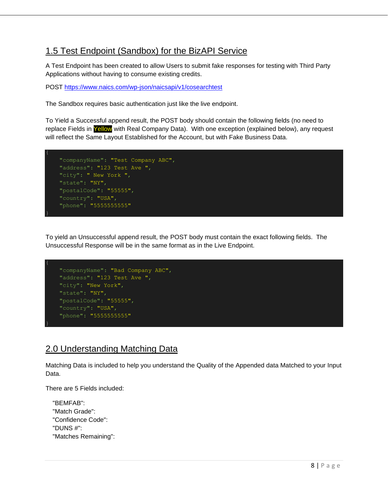## 1.5 Test Endpoint (Sandbox) for the BizAPI Service

A Test Endpoint has been created to allow Users to submit fake responses for testing with Third Party Applications without having to consume existing credits.

POST <https://www.naics.com/wp-json/naicsapi/v1/cosearchtest>

The Sandbox requires basic authentication just like the live endpoint.

To Yield a Successful append result, the POST body should contain the following fields (no need to replace Fields in Yellow with Real Company Data). With one exception (explained below), any request will reflect the Same Layout Established for the Account, but with Fake Business Data.



To yield an Unsuccessful append result, the POST body must contain the exact following fields. The Unsuccessful Response will be in the same format as in the Live Endpoint.

```
 "companyName": "Bad Company ABC",
 "address": "123 Test Ave ",
 "city": "New York",
 "state": "NY",
 "postalCode": "55555",
 "country": "USA",
 "phone": "5555555555"
```
# 2.0 Understanding Matching Data

Matching Data is included to help you understand the Quality of the Appended data Matched to your Input Data.

There are 5 Fields included:

| "BEMFAB":            |
|----------------------|
| "Match Grade":       |
| "Confidence Code":   |
| "DUNS #":            |
| "Matches Remaining": |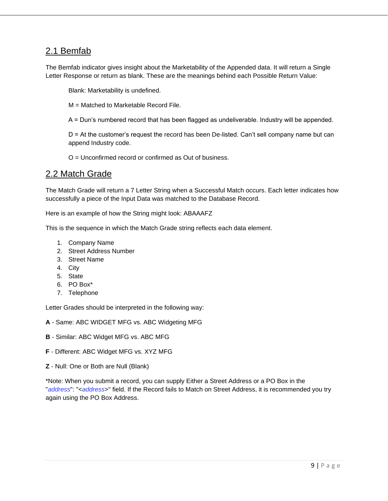### 2.1 Bemfab

The Bemfab indicator gives insight about the Marketability of the Appended data. It will return a Single Letter Response or return as blank. These are the meanings behind each Possible Return Value:

Blank: Marketability is undefined.

M = Matched to Marketable Record File.

A = Dun's numbered record that has been flagged as undeliverable. Industry will be appended.

D = At the customer's request the record has been De-listed. Can't sell company name but can append Industry code.

O = Unconfirmed record or confirmed as Out of business.

### 2.2 Match Grade

The Match Grade will return a 7 Letter String when a Successful Match occurs. Each letter indicates how successfully a piece of the Input Data was matched to the Database Record.

Here is an example of how the String might look: ABAAAFZ

This is the sequence in which the Match Grade string reflects each data element.

- 1. Company Name
- 2. Street Address Number
- 3. Street Name
- 4. City
- 5. State
- 6. PO Box\*
- 7. Telephone

Letter Grades should be interpreted in the following way:

- **A**  Same: ABC WIDGET MFG vs. ABC Widgeting MFG
- **B**  Similar: ABC Widget MFG vs. ABC MFG
- **F**  Different: ABC Widget MFG vs. XYZ MFG
- **Z**  Null: One or Both are Null (Blank)

\*Note: When you submit a record, you can supply Either a Street Address or a PO Box in the "*address*": "<*address*>" field. If the Record fails to Match on Street Address, it is recommended you try again using the PO Box Address.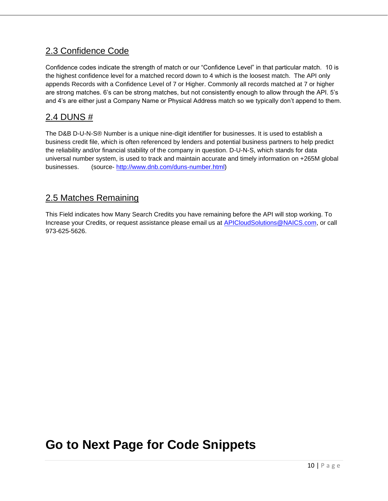# 2.3 Confidence Code

Confidence codes indicate the strength of match or our "Confidence Level" in that particular match. 10 is the highest confidence level for a matched record down to 4 which is the loosest match. The API only appends Records with a Confidence Level of 7 or Higher. Commonly all records matched at 7 or higher are strong matches. 6's can be strong matches, but not consistently enough to allow through the API. 5's and 4's are either just a Company Name or Physical Address match so we typically don't append to them.

# 2.4 DUNS #

The D&B D-U-N-S® Number is a unique nine-digit identifier for businesses. It is used to establish a business credit file, which is often referenced by lenders and potential business partners to help predict the reliability and/or financial stability of the company in question. D-U-N-S, which stands for data universal number system, is used to track and maintain accurate and timely information on +265M global businesses. (source- [http://www.dnb.com/duns-number.html\)](http://www.dnb.com/duns-number.html)

## 2.5 Matches Remaining

This Field indicates how Many Search Credits you have remaining before the API will stop working. To Increase your Credits, or request assistance please email us at [APICloudSolutions@NAICS.com,](mailto:APICloudSolutions@NAICS.com) or call 973-625-5626.

# <span id="page-9-0"></span>**Go to Next Page for Code Snippets**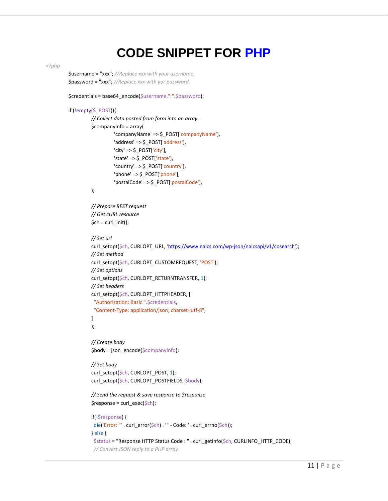# **CODE SNIPPET FOR PHP**

```
<?php
```
\$username = "xxx"; *//Replace xxx with your username.* \$password = "xxx"; *//Replace xxx with yor password.*

\$credentials = base64\_encode(\$username.":".\$password);

#### if (!empty(\$\_POST)){

```
// Collect data posted from form into an array.
$companyInfo = array(
          'companyName' => $_POST['companyName'],
          'address' => $_POST['address'],
          'city' => \oint POST['city'],
          'state' => \frac{1}{2} POST['state'],
          'country' => $_POST['country'],
          'phone' => $_POST['phone'],
          'postalCode' => $ POST['postalCode'],
```
#### );

*// Prepare REST request // Get cURL resource*  $$ch = curl_init()$ ;

#### *// Set url*

```
 'https://www.naics.com/wp-json/naicsapi/v1/cosearch');
// Set method
curl_setopt($ch, CURLOPT_CUSTOMREQUEST, 'POST');
// Set options
curl_setopt($ch, CURLOPT_RETURNTRANSFER, 1);
// Set headers
curl_setopt($ch, CURLOPT_HTTPHEADER, [
 "Authorization: Basic ".$credentials,
 "Content-Type: application/json; charset=utf-8",
]
);
```
*// Create body* \$body = json\_encode(\$companyInfo);

*// Set body* curl\_setopt(\$ch, CURLOPT\_POST, 1); curl\_setopt(\$ch, CURLOPT\_POSTFIELDS, \$body);

*// Send the request & save response to \$response* \$response = curl\_exec(\$ch);

```
if(!$response) {
 die('Error: "' . curl_error($ch) . '" - Code: ' . curl_errno($ch));
} else {
 $status = "Response HTTP Status Code : " . curl_getinfo($ch, CURLINFO_HTTP_CODE);
 // Convert JSON reply to a PHP array
```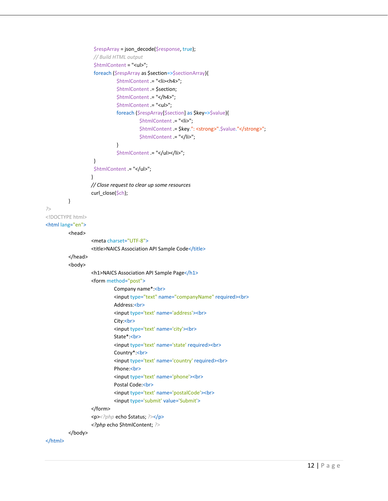```
$respArray = json_decode($response, true);
                   // Build HTML output
                   $htmlContent = "<ul>";
                   foreach ($respArray as $section=>$sectionArray){
                             $htmlContent .= "<li><h4>";
                             $htmlContent .= $section;
                             $htmlContent .= "</h4>";
                             $htmlContent .= "<ul>";
                             foreach ($respArray[$section] as $key=>$value){
                                      $htmlContent .= "<li>";
                                      $htmlContent .= $key.": <strong>".$value."</strong>";
                                      $htmlContent = "</li>";
                             }
                             $htmlContent .= "</ul></li>";
                   }
                   $htmlContent .= "</ul>";
                  }
                  // Close request to clear up some resources
                  curl_close($ch);
         }
?>
<!DOCTYPE html>
<html lang="en">
         <head>
                  <meta charset="UTF-8">
                  <title>NAICS Association API Sample Code</title>
         </head>
         <body>
                  <h1>NAICS Association API Sample Page</h1>
                  <form method="post">
                            Company name*:<br>
                            <input type="text" name="companyName" required><br>
                            Address:<br>
                            <input type='text' name='address'><br>
                            City:<br>
                            <input type='text' name='city'><br>
                            State*:<br>
                            <input type='text' name='state' required><br>
                            Country*:<br>
                            <input type='text' name='country' required><br>
                            Phone:<br>
                            <input type='text' name='phone'><br>
                            Postal Code:<br>
                            <input type='text' name='postalCode'><br>
                            <input type='submit' value='Submit'>
                  </form>
                  <p><?php echo $status; ?></p>
                  <?php echo $htmlContent; ?>
         </body>
```

```
</html>
```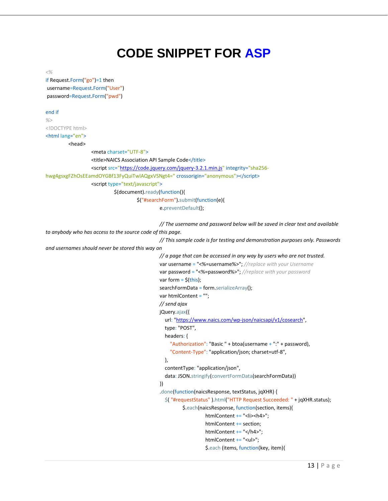# <span id="page-12-0"></span>**CODE SNIPPET FOR ASP**

*<%*

if Request.Form("go")=1 then username=Request.Form("User") password=Request.Form("pwd")

#### end if

*%>* <!DOCTYPE html>

### <html lang="en">

<head>

```
<meta charset="UTF-8">
                  <title>NAICS Association API Sample Code</title>
                  <script src="https://code.jquery.com/jquery-3.2.1.min.js" integrity="sha256-
hwg4gsxgFZhOsEEamdOYGBf13FyQuiTwlAQgxVSNgt4=" crossorigin="anonymous"></script>
                  <script type="text/javascript">
                           $(document).ready(function(){
                                     $("#searchForm").submit(function(e){
```
e.preventDefault();

```
// The username and password below will be saved in clear text and available 
to anybody who has access to the source code of this page.
                                                // This sample code is for testing and demonstration purposes only. Passwords 
and usernames should never be stored this way on
                                                // a page that can be accessed in any way by users who are not trusted.
                                                var username = "<%=username%>"; //replace with your Username
                                                var password = "<%=password%>"; //replace with your password
                                                var form = \frac{\xi \text{this}}{\xi};
                                                searchFormData = form.serializeArray();
                                                var htmlContent = "";
                                                // send ajax
                                                jQuery.ajax({
                                                  url: "https://www.naics.com/wp-json/naicsapi/v1/cosearch",
                                                  type: "POST",
                                                  headers: {
                                                     "Authorization": "Basic " + btoa(username + ":" + password),
                                                     "Content-Type": "application/json; charset=utf-8",
                                                  },
                                                  contentType: "application/json",
                                                  data: JSON.stringify(convertFormData(searchFormData))
                                                })
                                                 .done(function(naicsResponse, textStatus, jqXHR) {
                                                  $( "#requestStatus" ).html("HTTP Request Succeeded: " + jqXHR.status);
                                                          $.each(naicsResponse, function(section, items){
                                                                    htmlContent += "<li><h4>";
                                                                    htmlContent += section;
                                                                    htmlContent += "</h4>";
                                                                    htmlContent += "<ul>";
                                                                    $.each (items, function(key, item){
```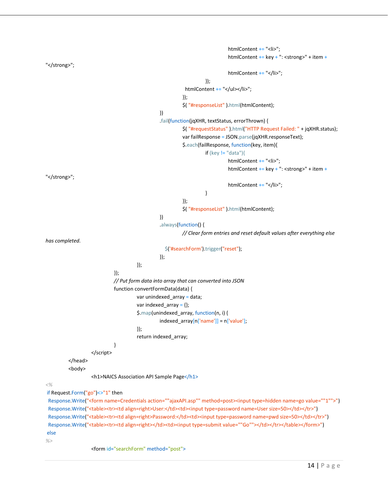```
htmlContent += "<li>";
                                                                              htmlContent += key + ": <strong>" + item +
"</strong>";
                                                                              htmlContent += "</li>";
                                                                    });
                                                           htmlContent += "</ul></li>";
                                                          });
                                                          $( "#responseList" ).html(htmlContent);
                                                })
                                                .fail(function(jqXHR, textStatus, errorThrown) {
                                                          $( "#requestStatus" ).html("HTTP Request Failed: " + jqXHR.status);
                                                          var failResponse = JSON.parse(jqXHR.responseText);
                                                          $.each(failResponse, function(key, item){
                                                                    if (key != "data"){
                                                                              htmlContent += "<li>";
                                                                              htmlContent += key + ": <strong>" + item +
"</strong>";
                                                                              htmlContent += "</li>";
                                                                    }
                                                          });
                                                          $( "#responseList" ).html(htmlContent);
                                                })
                                                 .always(function() {
                                                          // Clear form entries and reset default values after everything else 
has completed.
                                                  $('#searchForm').trigger("reset");
                                                });
                                      });
                             });
                             // Put form data into array that can converted into JSON
                             function convertFormData(data) {
                                       var unindexed array = data;
                                       var indexed \arctan\left\{\right\};$.map(unindexed_array, function(n, i) {
                                                indexed array[n['name']] = n['value'].});
                                       return indexed_array;
                             }
                   </script>
         </head>
         <body>
                   <h1>NAICS Association API Sample Page</h1>
<%
if Request.Form("go")<>"1" then
 Response.Write("<form name=Credentials action=""ajaxAPI.asp"" method=post><input type=hidden name=go value=""1"">")
 Response.Write("<table><tr>><td align=right>User:</td><td><input type=password name=User size=50></td></tr>")
```
Response.Write("<table><tr>><td align=right>Password:</td><td><input type=password name=pwd size=50></td></tr>") Response.Write("<table><tr><td align=right></td><td><input type=submit value=""Go""></td></tr></table></form>") else

<form id="searchForm" method="post">

*%>*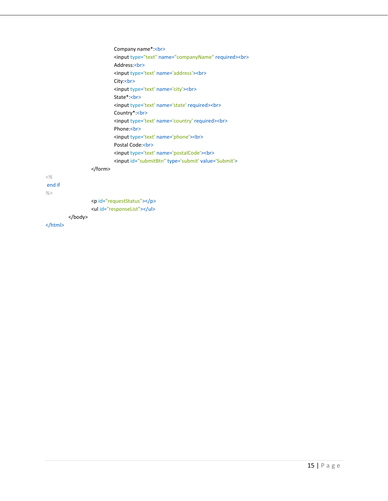|              |  |  | Company name*:<br>                                      |
|--------------|--|--|---------------------------------------------------------|
|              |  |  | <input name="companyName" required="" type="text"/><br> |
|              |  |  | Address:<br>                                            |
|              |  |  | <input name="address" type="text"/><br>                 |
|              |  |  | City:<br>                                               |
|              |  |  | <input name="city" type="text"/><br>                    |
|              |  |  | State*:<br>                                             |
|              |  |  | <input name="state" required="" type="text"/><br>       |
|              |  |  | Country*:<br>                                           |
|              |  |  | <input name="country" required="" type="text"/><br>     |
|              |  |  | Phone:<br>                                              |
|              |  |  | <input name="phone" type="text"/><br>                   |
|              |  |  | Postal Code:<br>                                        |
|              |  |  | <input name="postalCode" type="text"/><br>              |
|              |  |  | <input id="submitBtn" type="submit" value="Submit"/>    |
|              |  |  |                                                         |
| $<\!\%$      |  |  |                                                         |
| end if<br>%> |  |  |                                                         |
|              |  |  | <p id="requestStatus"></p>                              |
|              |  |  | <ul id="responseList"></ul>                             |
|              |  |  |                                                         |
|              |  |  |                                                         |
|              |  |  |                                                         |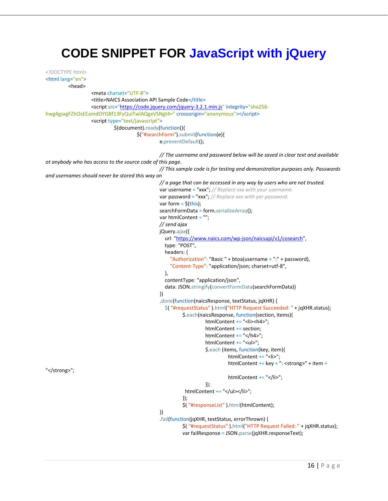# <span id="page-15-0"></span>**CODE SNIPPET FOR JavaScript with jQuery**

```
<!DOCTYPE html>
<html lang="en">
         <head>
                   <meta charset="UTF-8">
                   <title>NAICS Association API Sample Code</title>
                   <script src="https://code.jquery.com/jquery-3.2.1.min.js" integrity="sha256-
hwg4gsxgFZhOsEEamdOYGBf13FyQuiTwlAQgxVSNgt4=" crossorigin="anonymous"></script>
                   <script type="text/javascript">
                             $(document).ready(function(){
                                      $("#searchForm").submit(function(e){
                                                e.preventDefault();
                                                // The username and password below will be saved in clear text and available 
ot anybody who has access to the source code of this page.
                                                // This sample code is for testing and demonstration purposes only. Passwords 
and usernames should never be stored this way on
                                                // a page that can be accessed in any way by users who are not trusted.
                                                var username = "xxx"; // Replace xxx with your username.
                                                var password = "xxx"; // Replace xxx with yor password.
                                                var form = \frac{\xi}{\text{this}};
                                                searchFormData = form.serializeArray();
                                                var htmlContent = "";
                                                // send ajax
                                                jQuery.ajax({
                                                  url: "https://www.naics.com/wp-json/naicsapi/v1/cosearch",
                                                  type: "POST",
                                                  headers: {
                                                     "Authorization": "Basic " + btoa(username + ":" + password),
                                                     "Content-Type": "application/json; charset=utf-8",
                                                  },
                                                  contentType: "application/json",
                                                  data: JSON.stringify(convertFormData(searchFormData))
                                                })
                                                .done(function(naicsResponse, textStatus, jqXHR) {
                                                  $( "#requestStatus" ).html("HTTP Request Succeeded: " + jqXHR.status);
                                                          $.each(naicsResponse, function(section, items){
                                                                   htmlContent += "<li><h4>";
                                                                   htmlContent += section;
                                                                   htmlContent += "</h4>";
                                                                    htmlContent += "<ul>";
                                                                    $.each (items, function(key, item){
                                                                             htmlContent += "<li>";
                                                                             htmlContent += key + ": <strong>" + item +
"</strong>";
                                                                             htmlContent += "</li>";
                                                                    });
                                                           htmlContent += "</ul></li>";
                                                          });
                                                          $( "#responseList" ).html(htmlContent);
                                                })
                                                .fail(function(jqXHR, textStatus, errorThrown) {
                                                          $( "#requestStatus" ).html("HTTP Request Failed: " + jqXHR.status);
                                                          var failResponse = JSON.parse(jqXHR.responseText);
```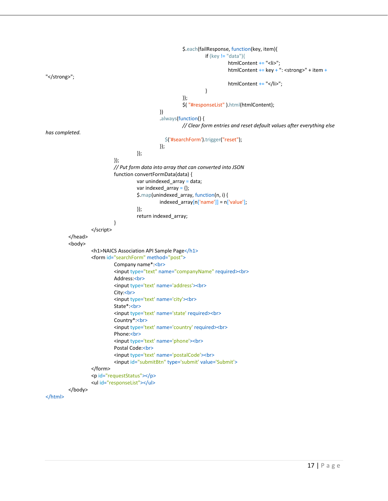```
$.each(failResponse, function(key, item){
                                                                   if (key != "data"){
                                                                            htmlContent += "<li>";
                                                                            htmlContent += key + ": <strong>" + item +
"</strong>";
                                                                            htmlContent += "</li>";
                                                                   }
                                                         });
                                                         $( "#responseList" ).html(htmlContent);
                                               })
                                                .always(function() {
                                                         // Clear form entries and reset default values after everything else 
has completed.
                                                  $('#searchForm').trigger("reset");
                                               });
                                      });
                            });
                            // Put form data into array that can converted into JSON
                            function convertFormData(data) {
                                      var unindexed_array = data;
                                      var indexed_array = \{\};$.map(unindexed_array, function(n, i) {
                                               indexed_array[n['name']] = n['value'];
                                      });
                                      return indexed_array;
                            }
                   </script>
         </head>
         <body>
                   <h1>NAICS Association API Sample Page</h1>
                   <form id="searchForm" method="post">
                            Company name*:<br>
                            <input type="text" name="companyName" required><br>
                            Address:<br>
                            <input type='text' name='address'><br>
                            City:<br>
                            <input type='text' name='city'><br>
                            State*:<br>
                            <input type='text' name='state' required><br>
                            Country*:<br>
                            <input type='text' name='country' required><br>
                            Phone:<br>
                            <input type='text' name='phone'><br>
                            Postal Code:<br>
                            <input type='text' name='postalCode'><br>
                            <input id="submitBtn" type='submit' value='Submit'>
                   </form>
                   <p id="requestStatus"></p>
                   <ul id="responseList"></ul>
         </body>
```

```
</html>
```